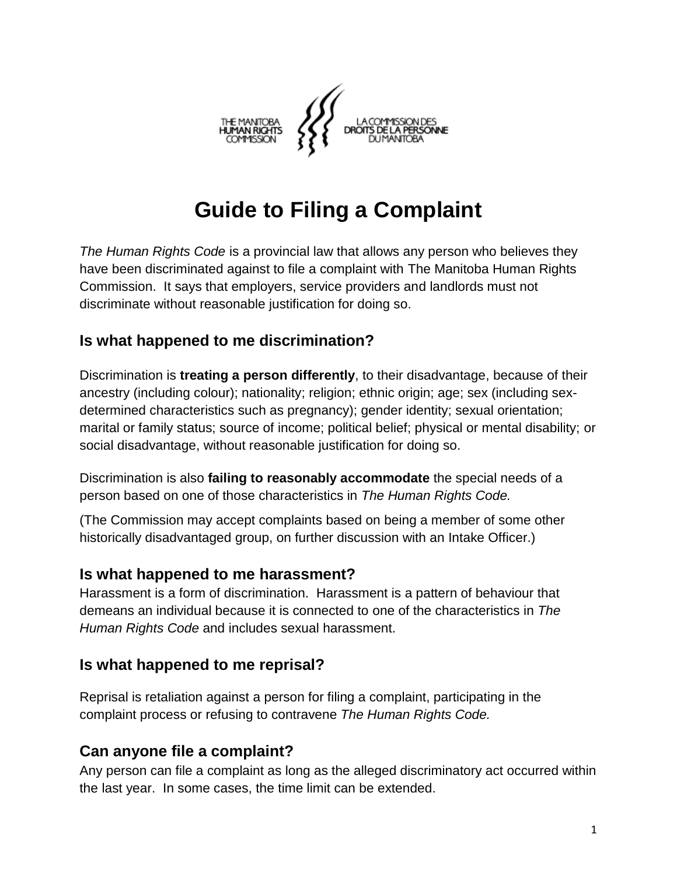

# **Guide to Filing a Complaint**

*The Human Rights Code* is a provincial law that allows any person who believes they have been discriminated against to file a complaint with The Manitoba Human Rights Commission. It says that employers, service providers and landlords must not discriminate without reasonable justification for doing so.

#### **Is what happened to me discrimination?**

Discrimination is **treating a person differently**, to their disadvantage, because of their ancestry (including colour); nationality; religion; ethnic origin; age; sex (including sexdetermined characteristics such as pregnancy); gender identity; sexual orientation; marital or family status; source of income; political belief; physical or mental disability; or social disadvantage, without reasonable justification for doing so.

Discrimination is also **failing to reasonably accommodate** the special needs of a person based on one of those characteristics in *The Human Rights Code.* 

(The Commission may accept complaints based on being a member of some other historically disadvantaged group, on further discussion with an Intake Officer.)

#### **Is what happened to me harassment?**

Harassment is a form of discrimination. Harassment is a pattern of behaviour that demeans an individual because it is connected to one of the characteristics in *The Human Rights Code* and includes sexual harassment.

#### **Is what happened to me reprisal?**

Reprisal is retaliation against a person for filing a complaint, participating in the complaint process or refusing to contravene *The Human Rights Code.*

#### **Can anyone file a complaint?**

Any person can file a complaint as long as the alleged discriminatory act occurred within the last year. In some cases, the time limit can be extended.